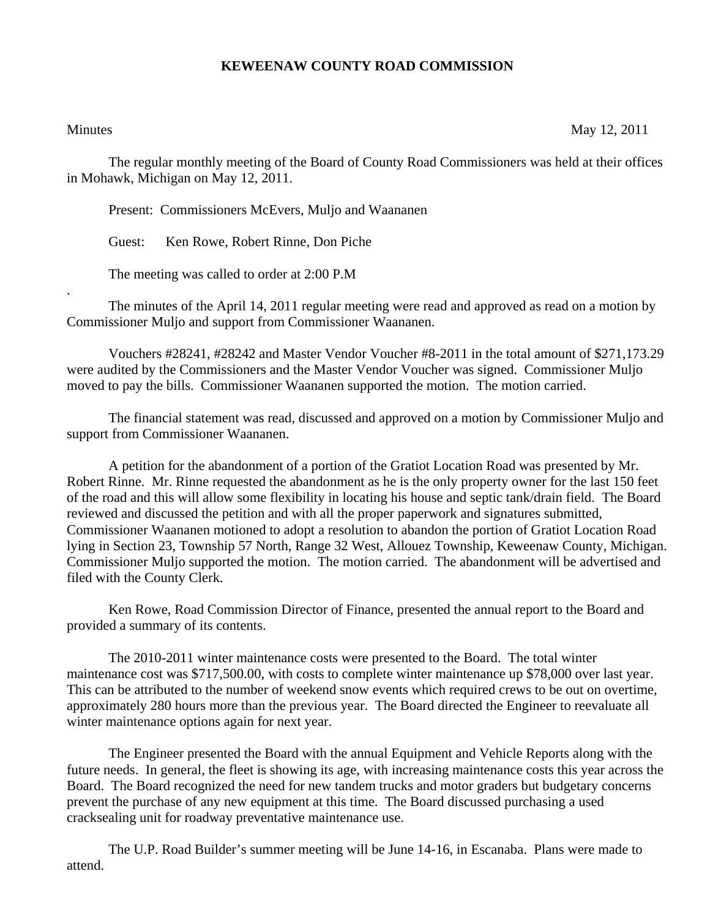## **KEWEENAW COUNTY ROAD COMMISSION**

.

Minutes May 12, 2011

The regular monthly meeting of the Board of County Road Commissioners was held at their offices in Mohawk, Michigan on May 12, 2011.

Present: Commissioners McEvers, Muljo and Waananen

Guest: Ken Rowe, Robert Rinne, Don Piche

The meeting was called to order at 2:00 P.M

 The minutes of the April 14, 2011 regular meeting were read and approved as read on a motion by Commissioner Muljo and support from Commissioner Waananen.

 Vouchers #28241, #28242 and Master Vendor Voucher #8-2011 in the total amount of \$271,173.29 were audited by the Commissioners and the Master Vendor Voucher was signed. Commissioner Muljo moved to pay the bills. Commissioner Waananen supported the motion. The motion carried.

 The financial statement was read, discussed and approved on a motion by Commissioner Muljo and support from Commissioner Waananen.

 A petition for the abandonment of a portion of the Gratiot Location Road was presented by Mr. Robert Rinne. Mr. Rinne requested the abandonment as he is the only property owner for the last 150 feet of the road and this will allow some flexibility in locating his house and septic tank/drain field. The Board reviewed and discussed the petition and with all the proper paperwork and signatures submitted, Commissioner Waananen motioned to adopt a resolution to abandon the portion of Gratiot Location Road lying in Section 23, Township 57 North, Range 32 West, Allouez Township, Keweenaw County, Michigan. Commissioner Muljo supported the motion. The motion carried. The abandonment will be advertised and filed with the County Clerk.

 Ken Rowe, Road Commission Director of Finance, presented the annual report to the Board and provided a summary of its contents.

 The 2010-2011 winter maintenance costs were presented to the Board. The total winter maintenance cost was \$717,500.00, with costs to complete winter maintenance up \$78,000 over last year. This can be attributed to the number of weekend snow events which required crews to be out on overtime, approximately 280 hours more than the previous year. The Board directed the Engineer to reevaluate all winter maintenance options again for next year.

 The Engineer presented the Board with the annual Equipment and Vehicle Reports along with the future needs. In general, the fleet is showing its age, with increasing maintenance costs this year across the Board. The Board recognized the need for new tandem trucks and motor graders but budgetary concerns prevent the purchase of any new equipment at this time. The Board discussed purchasing a used cracksealing unit for roadway preventative maintenance use.

 The U.P. Road Builder's summer meeting will be June 14-16, in Escanaba. Plans were made to attend.